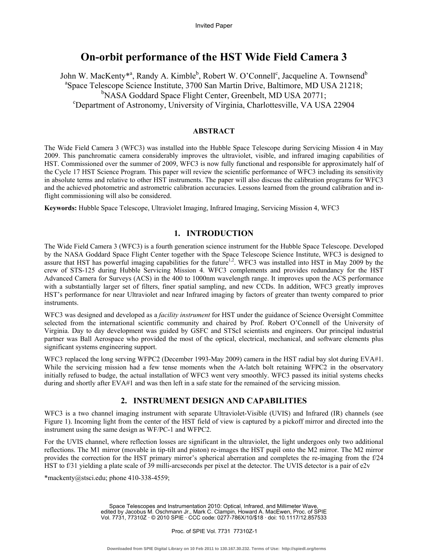# **On-orbit performance of the HST Wide Field Camera 3**

John W. MacKenty\*<sup>a</sup>, Randy A. Kimble<sup>b</sup>, Robert W. O'Connell<sup>c</sup>, Jacqueline A. Townsend<sup>b</sup> <sup>a</sup>Space Telescope Science Institute, 3700 San Martin Drive, Baltimore, MD USA 21218; <sup>b</sup>NASA Goddard Space Flight Center, Greenbelt, MD USA 20771; Department of Astronomy, University of Virginia, Charlottesville, VA USA 22904

### **ABSTRACT**

The Wide Field Camera 3 (WFC3) was installed into the Hubble Space Telescope during Servicing Mission 4 in May 2009. This panchromatic camera considerably improves the ultraviolet, visible, and infrared imaging capabilities of HST. Commissioned over the summer of 2009, WFC3 is now fully functional and responsible for approximately half of the Cycle 17 HST Science Program. This paper will review the scientific performance of WFC3 including its sensitivity in absolute terms and relative to other HST instruments. The paper will also discuss the calibration programs for WFC3 and the achieved photometric and astrometric calibration accuracies. Lessons learned from the ground calibration and inflight commissioning will also be considered.

**Keywords:** Hubble Space Telescope, Ultraviolet Imaging, Infrared Imaging, Servicing Mission 4, WFC3

# **1. INTRODUCTION**

The Wide Field Camera 3 (WFC3) is a fourth generation science instrument for the Hubble Space Telescope. Developed by the NASA Goddard Space Flight Center together with the Space Telescope Science Institute, WFC3 is designed to assure that HST has powerful imaging capabilities for the future<sup>1,2</sup>. WFC3 was installed into HST in May 2009 by the crew of STS-125 during Hubble Servicing Mission 4. WFC3 complements and provides redundancy for the HST Advanced Camera for Surveys (ACS) in the 400 to 1000nm wavelength range. It improves upon the ACS performance with a substantially larger set of filters, finer spatial sampling, and new CCDs. In addition, WFC3 greatly improves HST's performance for near Ultraviolet and near Infrared imaging by factors of greater than twenty compared to prior instruments.

WFC3 was designed and developed as a *facility instrument* for HST under the guidance of Science Oversight Committee selected from the international scientific community and chaired by Prof. Robert O'Connell of the University of Virginia. Day to day development was guided by GSFC and STScI scientists and engineers. Our principal industrial partner was Ball Aerospace who provided the most of the optical, electrical, mechanical, and software elements plus significant systems engineering support.

WFC3 replaced the long serving WFPC2 (December 1993-May 2009) camera in the HST radial bay slot during EVA#1. While the servicing mission had a few tense moments when the A-latch bolt retaining WFPC2 in the observatory initially refused to budge, the actual installation of WFC3 went very smoothly. WFC3 passed its initial systems checks during and shortly after EVA#1 and was then left in a safe state for the remained of the servicing mission.

# **2. INSTRUMENT DESIGN AND CAPABILITIES**

WFC3 is a two channel imaging instrument with separate Ultraviolet-Visible (UVIS) and Infrared (IR) channels (see Figure 1). Incoming light from the center of the HST field of view is captured by a pickoff mirror and directed into the instrument using the same design as WF/PC-1 and WFPC2.

For the UVIS channel, where reflection losses are significant in the ultraviolet, the light undergoes only two additional reflections. The M1 mirror (movable in tip-tilt and piston) re-images the HST pupil onto the M2 mirror. The M2 mirror provides the correction for the HST primary mirror's spherical aberration and completes the re-imaging from the f/24 HST to f/31 yielding a plate scale of 39 milli-arcseconds per pixel at the detector. The UVIS detector is a pair of  $e2v$ 

\*mackenty@stsci.edu; phone 410-338-4559;

Space Telescopes and Instrumentation 2010: Optical, Infrared, and Millimeter Wave, edited by Jacobus M. Oschmann Jr., Mark C. Clampin, Howard A. MacEwen, Proc. of SPIE Vol. 7731, 77310Z · © 2010 SPIE · CCC code: 0277-786X/10/\$18 · doi: 10.1117/12.857533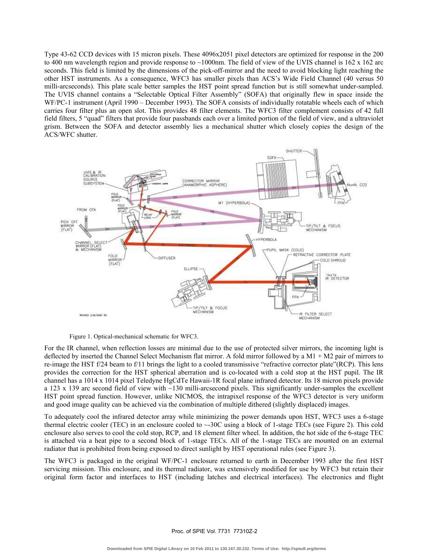Type 43-62 CCD devices with 15 micron pixels. These 4096x2051 pixel detectors are optimized for response in the 200 to 400 nm wavelength region and provide response to  $\sim$ 1000nm. The field of view of the UVIS channel is 162 x 162 arc seconds. This field is limited by the dimensions of the pick-off-mirror and the need to avoid blocking light reaching the other HST instruments. As a consequence, WFC3 has smaller pixels than ACS's Wide Field Channel (40 versus 50 milli-arcseconds). This plate scale better samples the HST point spread function but is still somewhat under-sampled. The UVIS channel contains a "Selectable Optical Filter Assembly" (SOFA) that originally flew in space inside the WF/PC-1 instrument (April 1990 – December 1993). The SOFA consists of individually rotatable wheels each of which carries four filter plus an open slot. This provides 48 filter elements. The WFC3 filter complement consists of 42 full field filters, 5 "quad" filters that provide four passbands each over a limited portion of the field of view, and a ultraviolet grism. Between the SOFA and detector assembly lies a mechanical shutter which closely copies the design of the ACS/WFC shutter.



Figure 1. Optical-mechanical schematic for WFC3.

For the IR channel, when reflection losses are minimal due to the use of protected silver mirrors, the incoming light is deflected by inserted the Channel Select Mechanism flat mirror. A fold mirror followed by a M1 + M2 pair of mirrors to re-image the HST f/24 beam to f/11 brings the light to a cooled transmissive "refractive corrector plate"(RCP). This lens provides the correction for the HST spherical aberration and is co-located with a cold stop at the HST pupil. The IR channel has a 1014 x 1014 pixel Teledyne HgCdTe Hawaii-1R focal plane infrared detector. Its 18 micron pixels provide a 123 x 139 arc second field of view with  $\sim$ 130 milli-arcsecond pixels. This significantly under-samples the excellent HST point spread function. However, unlike NICMOS, the intrapixel response of the WFC3 detector is very uniform and good image quality can be achieved via the combination of multiple dithered (slightly displaced) images.

To adequately cool the infrared detector array while minimizing the power demands upon HST, WFC3 uses a 6-stage thermal electric cooler (TEC) in an enclosure cooled to  $\sim$ -30C using a block of 1-stage TECs (see Figure 2). This cold enclosure also serves to cool the cold stop, RCP, and 18 element filter wheel. In addition, the hot side of the 6-stage TEC is attached via a heat pipe to a second block of 1-stage TECs. All of the 1-stage TECs are mounted on an external radiator that is prohibited from being exposed to direct sunlight by HST operational rules (see Figure 3).

The WFC3 is packaged in the original WF/PC-1 enclosure returned to earth in December 1993 after the first HST servicing mission. This enclosure, and its thermal radiator, was extensively modified for use by WFC3 but retain their original form factor and interfaces to HST (including latches and electrical interfaces). The electronics and flight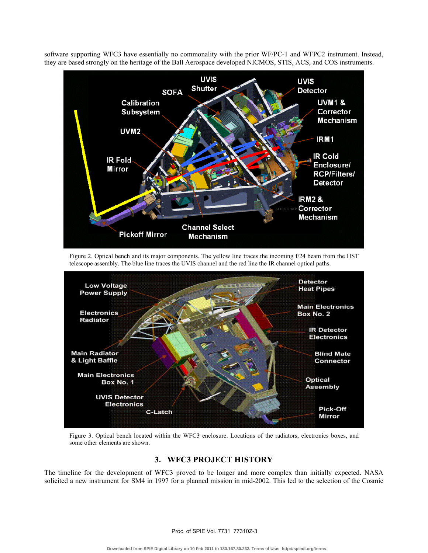

software supporting WFC3 have essentially no commonality with the prior WF/PC-1 and WFPC2 instrument. Instead, they are based strongly on the heritage of the Ball Aerospace developed NICMOS, STIS, ACS, and COS instruments.

Figure 2. Optical bench and its major components. The yellow line traces the incoming f/24 beam from the HST telescope assembly. The blue line traces the UVIS channel and the red line the IR channel optical paths.



Figure 3. Optical bench located within the WFC3 enclosure. Locations of the radiators, electronics boxes, and some other elements are shown.

# **3. WFC3 PROJECT HISTORY**

The timeline for the development of WFC3 proved to be longer and more complex than initially expected. NASA solicited a new instrument for SM4 in 1997 for a planned mission in mid-2002. This led to the selection of the Cosmic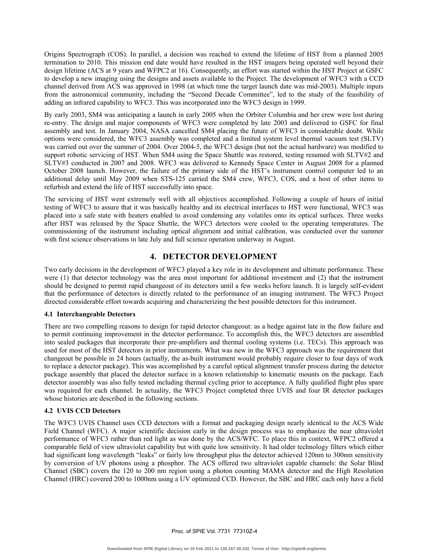Origins Spectrograph (COS). In parallel, a decision was reached to extend the lifetime of HST from a planned 2005 termination to 2010. This mission end date would have resulted in the HST imagers being operated well beyond their design lifetime (ACS at 9 years and WFPC2 at 16). Consequently, an effort was started within the HST Project at GSFC to develop a new imaging using the designs and assets available to the Project. The development of WFC3 with a CCD channel derived from ACS was approved in 1998 (at which time the target launch date was mid-2003). Multiple inputs from the astronomical community, including the "Second Decade Committee", led to the study of the feasibility of adding an infrared capability to WFC3. This was incorporated into the WFC3 design in 1999.

By early 2003, SM4 was anticipating a launch in early 2005 when the Orbiter Columbia and her crew were lost during re-entry. The design and major components of WFC3 were completed by late 2003 and delivered to GSFC for final assembly and test. In January 2004, NASA cancelled SM4 placing the future of WFC3 in considerable doubt. While options were considered, the WFC3 assembly was completed and a limited system level thermal vacuum test (SLTV) was carried out over the summer of 2004. Over 2004-5, the WFC3 design (but not the actual hardware) was modified to support robotic servicing of HST. When SM4 using the Space Shuttle was restored, testing resumed with SLTV#2 and SLTV#3 conducted in 2007 and 2008. WFC3 was delivered to Kennedy Space Center in August 2008 for a planned October 2008 launch. However, the failure of the primary side of the HST's instrument control computer led to an additional delay until May 2009 when STS-125 carried the SM4 crew, WFC3, COS, and a host of other items to refurbish and extend the life of HST successfully into space.

The servicing of HST went extremely well with all objectives accomplished. Following a couple of hours of initial testing of WFC3 to assure that it was basically healthy and its electrical interfaces to HST were functional, WFC3 was placed into a safe state with heaters enabled to avoid condensing any volatiles onto its optical surfaces. Three weeks after HST was released by the Space Shuttle, the WFC3 detectors were cooled to the operating temperatures. The commissioning of the instrument including optical alignment and initial calibration, was conducted over the summer with first science observations in late July and full science operation underway in August.

# **4. DETECTOR DEVELOPMENT**

Two early decisions in the development of WFC3 played a key role in its development and ultimate performance. These were (1) that detector technology was the area most important for additional investment and (2) that the instrument should be designed to permit rapid changeout of its detectors until a few weeks before launch. It is largely self-evident that the performance of detectors is directly related to the performance of an imaging instrument. The WFC3 Project directed considerable effort towards acquiring and characterizing the best possible detectors for this instrument.

### **4.1 Interchangeable Detectors**

There are two compelling reasons to design for rapid detector changeout: as a hedge against late in the flow failure and to permit continuing improvement in the detector performance. To accomplish this, the WFC3 detectors are assembled into sealed packages that incorporate their pre-amplifiers and thermal cooling systems (i.e. TECs). This approach was used for most of the HST detectors in prior instruments. What was new in the WFC3 approach was the requirement that changeout be possible in 24 hours (actually, the as-built instrument would probably require closer to four days of work to replace a detector package). This was accomplished by a careful optical alignment transfer process during the detector package assembly that placed the detector surface in a known relationship to kinematic mounts on the package. Each detector assembly was also fully tested including thermal cycling prior to acceptance. A fully qualified flight plus spare was required for each channel. In actuality, the WFC3 Project completed three UVIS and four IR detector packages whose histories are described in the following sections.

### **4.2 UVIS CCD Detectors**

The WFC3 UVIS Channel uses CCD detectors with a format and packaging design nearly identical to the ACS Wide Field Channel (WFC). A major scientific decision early in the design process was to emphasize the near ultraviolet performance of WFC3 rather than red light as was done by the ACS/WFC. To place this in context, WFPC2 offered a comparable field of view ultraviolet capability but with quite low sensitivity. It had older technology filters which either had significant long wavelength "leaks" or fairly low throughput plus the detector achieved 120nm to 300nm sensitivity by conversion of UV photons using a phosphor. The ACS offered two ultraviolet capable channels: the Solar Blind Channel (SBC) covers the 120 to 200 nm region using a photon counting MAMA detector and the High Resolution Channel (HRC) covered 200 to 1000nm using a UV optimized CCD. However, the SBC and HRC each only have a field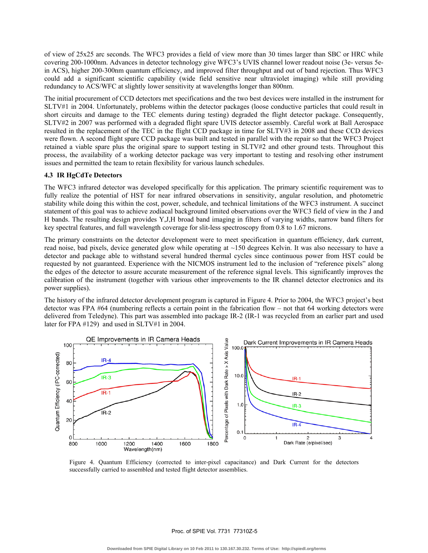of view of 25x25 arc seconds. The WFC3 provides a field of view more than 30 times larger than SBC or HRC while covering 200-1000nm. Advances in detector technology give WFC3's UVIS channel lower readout noise (3e- versus 5ein ACS), higher 200-300nm quantum efficiency, and improved filter throughput and out of band rejection. Thus WFC3 could add a significant scientific capability (wide field sensitive near ultraviolet imaging) while still providing redundancy to ACS/WFC at slightly lower sensitivity at wavelengths longer than 800nm.

The initial procurement of CCD detectors met specifications and the two best devices were installed in the instrument for SLTV#1 in 2004. Unfortunately, problems within the detector packages (loose conductive particles that could result in short circuits and damage to the TEC elements during testing) degraded the flight detector package. Consequently, SLTV#2 in 2007 was performed with a degraded flight spare UVIS detector assembly. Careful work at Ball Aerospace resulted in the replacement of the TEC in the flight CCD package in time for SLTV#3 in 2008 and these CCD devices were flown. A second flight spare CCD package was built and tested in parallel with the repair so that the WFC3 Project retained a viable spare plus the original spare to support testing in SLTV#2 and other ground tests. Throughout this process, the availability of a working detector package was very important to testing and resolving other instrument issues and permitted the team to retain flexibility for various launch schedules.

### **4.3 IR HgCdTe Detectors**

The WFC3 infrared detector was developed specifically for this application. The primary scientific requirement was to fully realize the potential of HST for near infrared observations in sensitivity, angular resolution, and photometric stability while doing this within the cost, power, schedule, and technical limitations of the WFC3 instrument. A succinct statement of this goal was to achieve zodiacal background limited observations over the WFC3 field of view in the J and H bands. The resulting design provides Y,J,H broad band imaging in filters of varying widths, narrow band filters for key spectral features, and full wavelength coverage for slit-less spectroscopy from 0.8 to 1.67 microns.

The primary constraints on the detector development were to meet specification in quantum efficiency, dark current, read noise, bad pixels, device generated glow while operating at ~150 degrees Kelvin. It was also necessary to have a detector and package able to withstand several hundred thermal cycles since continuous power from HST could be requested by not guaranteed. Experience with the NICMOS instrument led to the inclusion of "reference pixels" along the edges of the detector to assure accurate measurement of the reference signal levels. This significantly improves the calibration of the instrument (together with various other improvements to the IR channel detector electronics and its power supplies).

The history of the infrared detector development program is captured in Figure 4. Prior to 2004, the WFC3 project's best detector was FPA #64 (numbering reflects a certain point in the fabrication flow – not that 64 working detectors were delivered from Teledyne). This part was assembled into package IR-2 (IR-1 was recycled from an earlier part and used later for FPA #129) and used in SLTV#1 in 2004.



Figure 4. Quantum Efficiency (corrected to inter-pixel capacitance) and Dark Current for the detectors successfully carried to assembled and tested flight detector assemblies.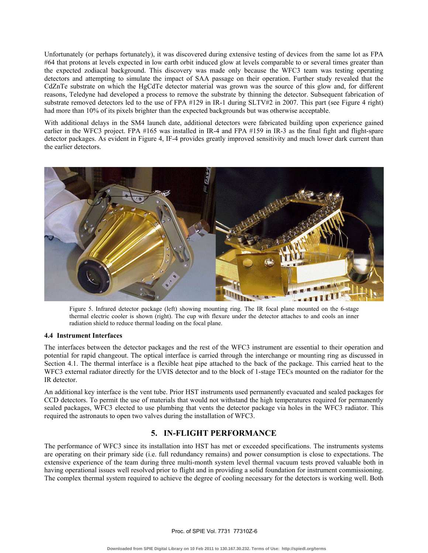Unfortunately (or perhaps fortunately), it was discovered during extensive testing of devices from the same lot as FPA #64 that protons at levels expected in low earth orbit induced glow at levels comparable to or several times greater than the expected zodiacal background. This discovery was made only because the WFC3 team was testing operating detectors and attempting to simulate the impact of SAA passage on their operation. Further study revealed that the CdZnTe substrate on which the HgCdTe detector material was grown was the source of this glow and, for different reasons, Teledyne had developed a process to remove the substrate by thinning the detector. Subsequent fabrication of substrate removed detectors led to the use of FPA #129 in IR-1 during SLTV#2 in 2007. This part (see Figure 4 right) had more than 10% of its pixels brighter than the expected backgrounds but was otherwise acceptable.

With additional delays in the SM4 launch date, additional detectors were fabricated building upon experience gained earlier in the WFC3 project. FPA #165 was installed in IR-4 and FPA #159 in IR-3 as the final fight and flight-spare detector packages. As evident in Figure 4, IF-4 provides greatly improved sensitivity and much lower dark current than the earlier detectors.



Figure 5. Infrared detector package (left) showing mounting ring. The IR focal plane mounted on the 6-stage thermal electric cooler is shown (right). The cup with flexure under the detector attaches to and cools an inner radiation shield to reduce thermal loading on the focal plane.

#### **4.4 Instrument Interfaces**

The interfaces between the detector packages and the rest of the WFC3 instrument are essential to their operation and potential for rapid changeout. The optical interface is carried through the interchange or mounting ring as discussed in Section 4.1. The thermal interface is a flexible heat pipe attached to the back of the package. This carried heat to the WFC3 external radiator directly for the UVIS detector and to the block of 1-stage TECs mounted on the radiator for the IR detector.

An additional key interface is the vent tube. Prior HST instruments used permanently evacuated and sealed packages for CCD detectors. To permit the use of materials that would not withstand the high temperatures required for permanently sealed packages, WFC3 elected to use plumbing that vents the detector package via holes in the WFC3 radiator. This required the astronauts to open two valves during the installation of WFC3.

# **5. IN-FLIGHT PERFORMANCE**

The performance of WFC3 since its installation into HST has met or exceeded specifications. The instruments systems are operating on their primary side (i.e. full redundancy remains) and power consumption is close to expectations. The extensive experience of the team during three multi-month system level thermal vacuum tests proved valuable both in having operational issues well resolved prior to flight and in providing a solid foundation for instrument commissioning. The complex thermal system required to achieve the degree of cooling necessary for the detectors is working well. Both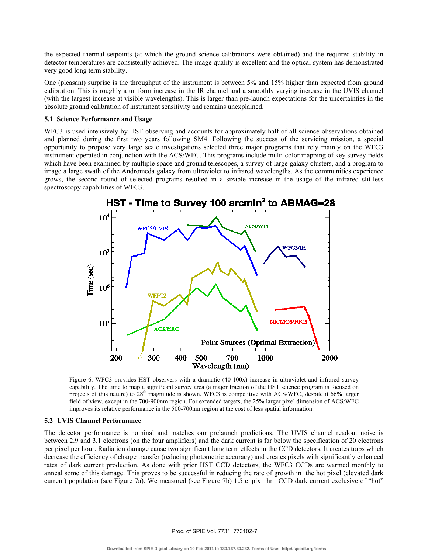the expected thermal setpoints (at which the ground science calibrations were obtained) and the required stability in detector temperatures are consistently achieved. The image quality is excellent and the optical system has demonstrated very good long term stability.

One (pleasant) surprise is the throughput of the instrument is between 5% and 15% higher than expected from ground calibration. This is roughly a uniform increase in the IR channel and a smoothly varying increase in the UVIS channel (with the largest increase at visible wavelengths). This is larger than pre-launch expectations for the uncertainties in the absolute ground calibration of instrument sensitivity and remains unexplained.

#### **5.1 Science Performance and Usage**

WFC3 is used intensively by HST observing and accounts for approximately half of all science observations obtained and planned during the first two years following SM4. Following the success of the servicing mission, a special opportunity to propose very large scale investigations selected three major programs that rely mainly on the WFC3 instrument operated in conjunction with the ACS/WFC. This programs include multi-color mapping of key survey fields which have been examined by multiple space and ground telescopes, a survey of large galaxy clusters, and a program to image a large swath of the Andromeda galaxy from ultraviolet to infrared wavelengths. As the communities experience grows, the second round of selected programs resulted in a sizable increase in the usage of the infrared slit-less spectroscopy capabilities of WFC3.



Figure 6. WFC3 provides HST observers with a dramatic (40-100x) increase in ultraviolet and infrared survey capability. The time to map a significant survey area (a major fraction of the HST science program is focused on projects of this nature) to 28<sup>th</sup> magnitude is shown. WFC3 is competitive with ACS/WFC, despite it 66% larger field of view, except in the 700-900nm region. For extended targets, the 25% larger pixel dimension of ACS/WFC improves its relative performance in the 500-700nm region at the cost of less spatial information.

#### **5.2 UVIS Channel Performance**

The detector performance is nominal and matches our prelaunch predictions. The UVIS channel readout noise is between 2.9 and 3.1 electrons (on the four amplifiers) and the dark current is far below the specification of 20 electrons per pixel per hour. Radiation damage cause two significant long term effects in the CCD detectors. It creates traps which decrease the efficiency of charge transfer (reducing photometric accuracy) and creates pixels with significantly enhanced rates of dark current production. As done with prior HST CCD detectors, the WFC3 CCDs are warmed monthly to anneal some of this damage. This proves to be successful in reducing the rate of growth in the hot pixel (elevated dark current) population (see Figure 7a). We measured (see Figure 7b)  $1.5 e^-$  pix<sup>-1</sup> hr<sup>-1</sup> CCD dark current exclusive of "hot"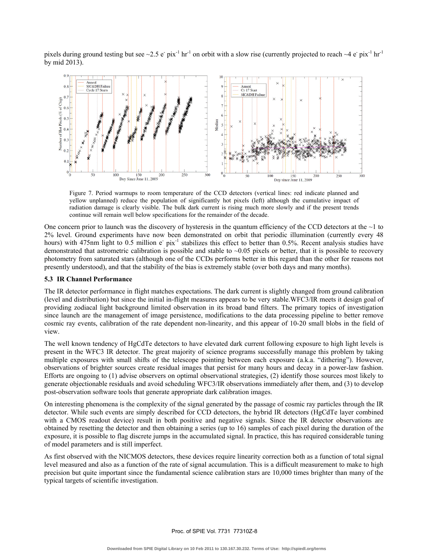pixels during ground testing but see  $\sim 2.5$  e<sup>-</sup> pix<sup>-1</sup> hr<sup>-1</sup> on orbit with a slow rise (currently projected to reach  $\sim 4$  e<sup>-</sup> pix<sup>-1</sup> hr<sup>-1</sup> by mid 2013).



Figure 7. Period warmups to room temperature of the CCD detectors (vertical lines: red indicate planned and yellow unplanned) reduce the population of significantly hot pixels (left) although the cumulative impact of radiation damage is clearly visible. The bulk dark current is rising much more slowly and if the present trends continue will remain well below specifications for the remainder of the decade.

One concern prior to launch was the discovery of hysteresis in the quantum efficiency of the CCD detectors at the  $\sim$ 1 to 2% level. Ground experiments have now been demonstrated on orbit that periodic illumination (currently every 48 hours) with 475nm light to 0.5 million e-pix<sup>-1</sup> stabilizes this effect to better than 0.5%. Recent analysis studies have demonstrated that astrometric calibration is possible and stable to  $\sim 0.05$  pixels or better, that it is possible to recovery photometry from saturated stars (although one of the CCDs performs better in this regard than the other for reasons not presently understood), and that the stability of the bias is extremely stable (over both days and many months).

### **5.3 IR Channel Performance**

The IR detector performance in flight matches expectations. The dark current is slightly changed from ground calibration (level and distribution) but since the initial in-flight measures appears to be very stable.WFC3/IR meets it design goal of providing zodiacal light background limited observation in its broad band filters. The primary topics of investigation since launch are the management of image persistence, modifications to the data processing pipeline to better remove cosmic ray events, calibration of the rate dependent non-linearity, and this appear of 10-20 small blobs in the field of view.

The well known tendency of HgCdTe detectors to have elevated dark current following exposure to high light levels is present in the WFC3 IR detector. The great majority of science programs successfully manage this problem by taking multiple exposures with small shifts of the telescope pointing between each exposure (a.k.a. "dithering"). However, observations of brighter sources create residual images that persist for many hours and decay in a power-law fashion. Efforts are ongoing to (1) advise observers on optimal observational strategies, (2) identify those sources most likely to generate objectionable residuals and avoid scheduling WFC3/IR observations immediately after them, and (3) to develop post-observation software tools that generate appropriate dark calibration images.

On interesting phenomena is the complexity of the signal generated by the passage of cosmic ray particles through the IR detector. While such events are simply described for CCD detectors, the hybrid IR detectors (HgCdTe layer combined with a CMOS readout device) result in both positive and negative signals. Since the IR detector observations are obtained by resetting the detector and then obtaining a series (up to 16) samples of each pixel during the duration of the exposure, it is possible to flag discrete jumps in the accumulated signal. In practice, this has required considerable tuning of model parameters and is still imperfect.

As first observed with the NICMOS detectors, these devices require linearity correction both as a function of total signal level measured and also as a function of the rate of signal accumulation. This is a difficult measurement to make to high precision but quite important since the fundamental science calibration stars are 10,000 times brighter than many of the typical targets of scientific investigation.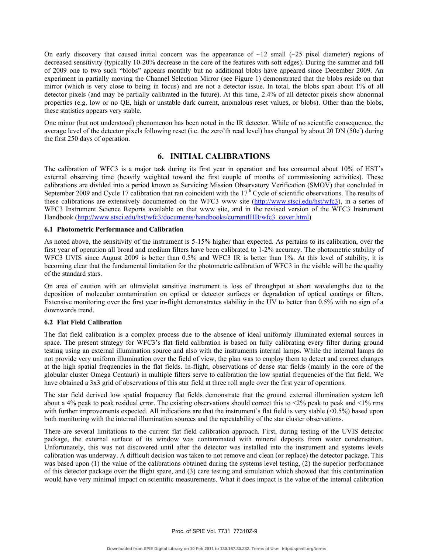On early discovery that caused initial concern was the appearance of  $\sim$ 12 small ( $\sim$ 25 pixel diameter) regions of decreased sensitivity (typically 10-20% decrease in the core of the features with soft edges). During the summer and fall of 2009 one to two such "blobs" appears monthly but no additional blobs have appeared since December 2009. An experiment in partially moving the Channel Selection Mirror (see Figure 1) demonstrated that the blobs reside on that mirror (which is very close to being in focus) and are not a detector issue. In total, the blobs span about 1% of all detector pixels (and may be partially calibrated in the future). At this time, 2.4% of all detector pixels show abnormal properties (e.g. low or no QE, high or unstable dark current, anomalous reset values, or blobs). Other than the blobs, these statistics appears very stable.

One minor (but not understood) phenomenon has been noted in the IR detector. While of no scientific consequence, the average level of the detector pixels following reset (i.e. the zero'th read level) has changed by about 20 DN ( $50e$ ) during the first 250 days of operation.

# **6. INITIAL CALIBRATIONS**

The calibration of WFC3 is a major task during its first year in operation and has consumed about 10% of HST's external observing time (heavily weighted toward the first couple of months of commissioning activities). These calibrations are divided into a period known as Servicing Mission Observatory Verification (SMOV) that concluded in September 2009 and Cycle 17 calibration that ran coincident with the  $17<sup>th</sup>$  Cycle of scientific observations. The results of these calibrations are extensively documented on the WFC3 www site (http://www.stsci.edu/hst/wfc3), in a series of WFC3 Instrument Science Reports available on that www site, and in the revised version of the WFC3 Instrument Handbook (http://www.stsci.edu/hst/wfc3/documents/handbooks/currentIHB/wfc3\_cover.html)

### **6.1 Photometric Performance and Calibration**

As noted above, the sensitivity of the instrument is 5-15% higher than expected. As pertains to its calibration, over the first year of operation all broad and medium filters have been calibrated to 1-2% accuracy. The photometric stability of WFC3 UVIS since August 2009 is better than 0.5% and WFC3 IR is better than 1%. At this level of stability, it is becoming clear that the fundamental limitation for the photometric calibration of WFC3 in the visible will be the quality of the standard stars.

On area of caution with an ultraviolet sensitive instrument is loss of throughput at short wavelengths due to the deposition of molecular contamination on optical or detector surfaces or degradation of optical coatings or filters. Extensive monitoring over the first year in-flight demonstrates stability in the UV to better than 0.5% with no sign of a downwards trend.

### **6.2 Flat Field Calibration**

The flat field calibration is a complex process due to the absence of ideal uniformly illuminated external sources in space. The present strategy for WFC3's flat field calibration is based on fully calibrating every filter during ground testing using an external illumination source and also with the instruments internal lamps. While the internal lamps do not provide very uniform illumination over the field of view, the plan was to employ them to detect and correct changes at the high spatial frequencies in the flat fields. In-flight, observations of dense star fields (mainly in the core of the globular cluster Omega Centauri) in multiple filters serve to calibration the low spatial frequencies of the flat field. We have obtained a 3x3 grid of observations of this star field at three roll angle over the first year of operations.

The star field derived low spatial frequency flat fields demonstrate that the ground external illumination system left about a 4% peak to peak residual error. The existing observations should correct this to  $\leq 2\%$  peak to peak and  $\leq 1\%$  rms with further improvements expected. All indications are that the instrument's flat field is very stable  $(<0.5\%)$  based upon both monitoring with the internal illumination sources and the repeatability of the star cluster observations.

There are several limitations to the current flat field calibration approach. First, during testing of the UVIS detector package, the external surface of its window was contaminated with mineral deposits from water condensation. Unfortunately, this was not discovered until after the detector was installed into the instrument and systems levels calibration was underway. A difficult decision was taken to not remove and clean (or replace) the detector package. This was based upon (1) the value of the calibrations obtained during the systems level testing, (2) the superior performance of this detector package over the flight spare, and (3) care testing and simulation which showed that this contamination would have very minimal impact on scientific measurements. What it does impact is the value of the internal calibration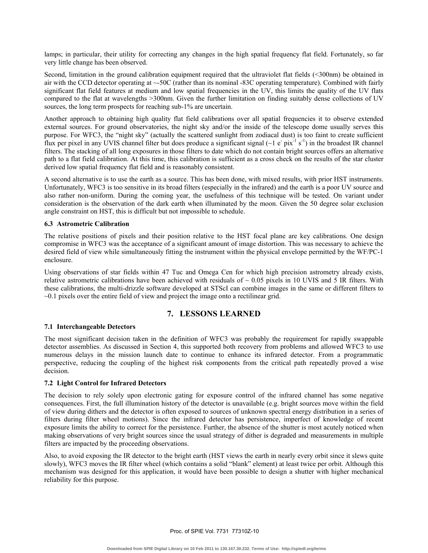lamps; in particular, their utility for correcting any changes in the high spatial frequency flat field. Fortunately, so far very little change has been observed.

Second, limitation in the ground calibration equipment required that the ultraviolet flat fields (<300nm) be obtained in air with the CCD detector operating at ~-50C (rather than its nominal -83C operating temperature). Combined with fairly significant flat field features at medium and low spatial frequencies in the UV, this limits the quality of the UV flats compared to the flat at wavelengths >300nm. Given the further limitation on finding suitably dense collections of UV sources, the long term prospects for reaching sub-1% are uncertain.

Another approach to obtaining high quality flat field calibrations over all spatial frequencies it to observe extended external sources. For ground observatories, the night sky and/or the inside of the telescope dome usually serves this purpose. For WFC3, the "night sky" (actually the scattered sunlight from zodiacal dust) is too faint to create sufficient flux per pixel in any UVIS channel filter but does produce a significant signal  $(-1 e^- \text{pix}^{-1} \text{ s}^{-1})$  in the broadest IR channel filters. The stacking of all long exposures in those filters to date which do not contain bright sources offers an alternative path to a flat field calibration. At this time, this calibration is sufficient as a cross check on the results of the star cluster derived low spatial frequency flat field and is reasonably consistent.

A second alternative is to use the earth as a source. This has been done, with mixed results, with prior HST instruments. Unfortunately, WFC3 is too sensitive in its broad filters (especially in the infrared) and the earth is a poor UV source and also rather non-uniform. During the coming year, the usefulness of this technique will be tested. On variant under consideration is the observation of the dark earth when illuminated by the moon. Given the 50 degree solar exclusion angle constraint on HST, this is difficult but not impossible to schedule.

### **6.3 Astrometric Calibration**

The relative positions of pixels and their position relative to the HST focal plane are key calibrations. One design compromise in WFC3 was the acceptance of a significant amount of image distortion. This was necessary to achieve the desired field of view while simultaneously fitting the instrument within the physical envelope permitted by the WF/PC-1 enclosure.

Using observations of star fields within 47 Tuc and Omega Cen for which high precision astrometry already exists, relative astrometric calibrations have been achieved with residuals of  $\sim 0.05$  pixels in 10 UVIS and 5 IR filters. With these calibrations, the multi-drizzle software developed at STScI can combine images in the same or different filters to ~0.1 pixels over the entire field of view and project the image onto a rectilinear grid.

## **7. LESSONS LEARNED**

### **7.1 Interchangeable Detectors**

The most significant decision taken in the definition of WFC3 was probably the requirement for rapidly swappable detector assemblies. As discussed in Section 4, this supported both recovery from problems and allowed WFC3 to use numerous delays in the mission launch date to continue to enhance its infrared detector. From a programmatic perspective, reducing the coupling of the highest risk components from the critical path repeatedly proved a wise decision.

#### **7.2 Light Control for Infrared Detectors**

The decision to rely solely upon electronic gating for exposure control of the infrared channel has some negative consequences. First, the full illumination history of the detector is unavailable (e.g. bright sources move within the field of view during dithers and the detector is often exposed to sources of unknown spectral energy distribution in a series of filters during filter wheel motions). Since the infrared detector has persistence, imperfect of knowledge of recent exposure limits the ability to correct for the persistence. Further, the absence of the shutter is most acutely noticed when making observations of very bright sources since the usual strategy of dither is degraded and measurements in multiple filters are impacted by the proceeding observations.

Also, to avoid exposing the IR detector to the bright earth (HST views the earth in nearly every orbit since it slews quite slowly), WFC3 moves the IR filter wheel (which contains a solid "blank" element) at least twice per orbit. Although this mechanism was designed for this application, it would have been possible to design a shutter with higher mechanical reliability for this purpose.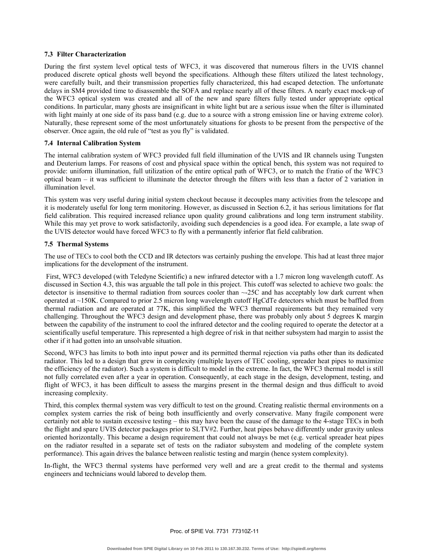### **7.3 Filter Characterization**

During the first system level optical tests of WFC3, it was discovered that numerous filters in the UVIS channel produced discrete optical ghosts well beyond the specifications. Although these filters utilized the latest technology, were carefully built, and their transmission properties fully characterized, this had escaped detection. The unfortunate delays in SM4 provided time to disassemble the SOFA and replace nearly all of these filters. A nearly exact mock-up of the WFC3 optical system was created and all of the new and spare filters fully tested under appropriate optical conditions. In particular, many ghosts are insignificant in white light but are a serious issue when the filter is illuminated with light mainly at one side of its pass band (e.g. due to a source with a strong emission line or having extreme color). Naturally, these represent some of the most unfortunately situations for ghosts to be present from the perspective of the observer. Once again, the old rule of "test as you fly" is validated.

#### **7.4 Internal Calibration System**

The internal calibration system of WFC3 provided full field illumination of the UVIS and IR channels using Tungsten and Deuterium lamps. For reasons of cost and physical space within the optical bench, this system was not required to provide: uniform illumination, full utilization of the entire optical path of WFC3, or to match the f/ratio of the WFC3 optical beam – it was sufficient to illuminate the detector through the filters with less than a factor of 2 variation in illumination level.

This system was very useful during initial system checkout because it decouples many activities from the telescope and it is moderately useful for long term monitoring. However, as discussed in Section 6.2, it has serious limitations for flat field calibration. This required increased reliance upon quality ground calibrations and long term instrument stability. While this may yet prove to work satisfactorily, avoiding such dependencies is a good idea. For example, a late swap of the UVIS detector would have forced WFC3 to fly with a permanently inferior flat field calibration.

### **7.5 Thermal Systems**

The use of TECs to cool both the CCD and IR detectors was certainly pushing the envelope. This had at least three major implications for the development of the instrument.

 First, WFC3 developed (with Teledyne Scientific) a new infrared detector with a 1.7 micron long wavelength cutoff. As discussed in Section 4.3, this was arguable the tall pole in this project. This cutoff was selected to achieve two goals: the detector is insensitive to thermal radiation from sources cooler than ~-25C and has acceptably low dark current when operated at ~150K. Compared to prior 2.5 micron long wavelength cutoff HgCdTe detectors which must be baffled from thermal radiation and are operated at 77K, this simplified the WFC3 thermal requirements but they remained very challenging. Throughout the WFC3 design and development phase, there was probably only about 5 degrees K margin between the capability of the instrument to cool the infrared detector and the cooling required to operate the detector at a scientifically useful temperature. This represented a high degree of risk in that neither subsystem had margin to assist the other if it had gotten into an unsolvable situation.

Second, WFC3 has limits to both into input power and its permitted thermal rejection via paths other than its dedicated radiator. This led to a design that grew in complexity (multiple layers of TEC cooling, spreader heat pipes to maximize the efficiency of the radiator). Such a system is difficult to model in the extreme. In fact, the WFC3 thermal model is still not fully correlated even after a year in operation. Consequently, at each stage in the design, development, testing, and flight of WFC3, it has been difficult to assess the margins present in the thermal design and thus difficult to avoid increasing complexity.

Third, this complex thermal system was very difficult to test on the ground. Creating realistic thermal environments on a complex system carries the risk of being both insufficiently and overly conservative. Many fragile component were certainly not able to sustain excessive testing – this may have been the cause of the damage to the 4-stage TECs in both the flight and spare UVIS detector packages prior to SLTV#2. Further, heat pipes behave differently under gravity unless oriented horizontally. This became a design requirement that could not always be met (e.g. vertical spreader heat pipes on the radiator resulted in a separate set of tests on the radiator subsystem and modeling of the complete system performance). This again drives the balance between realistic testing and margin (hence system complexity).

In-flight, the WFC3 thermal systems have performed very well and are a great credit to the thermal and systems engineers and technicians would labored to develop them.